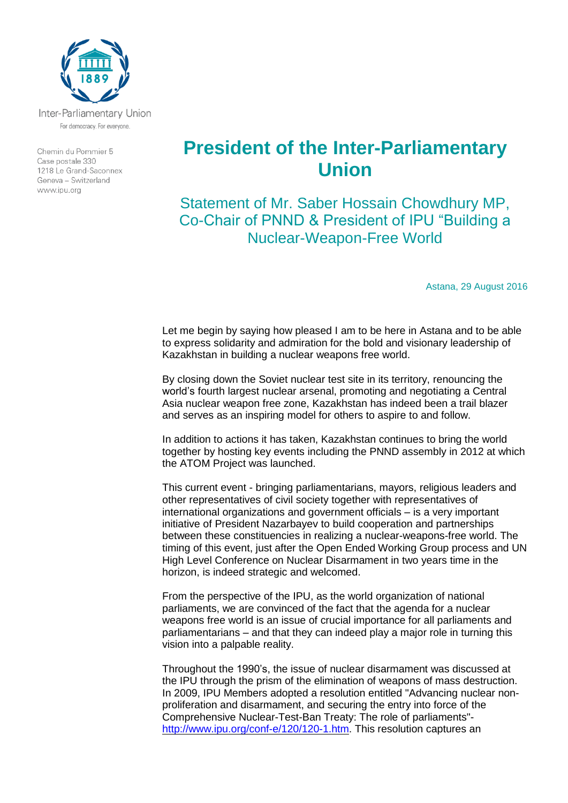

Inter-Parliamentary Union For democracy. For everyone.

Chemin du Pommier 5 Case postale 330 1218 Le Grand-Saconnex Geneva - Switzerland www.ipu.org

## **President of the Inter-Parliamentary Union**

Statement of Mr. Saber Hossain Chowdhury MP, Co-Chair of PNND & President of IPU "Building a Nuclear-Weapon-Free World

Astana, 29 August 2016

Let me begin by saying how pleased I am to be here in Astana and to be able to express solidarity and admiration for the bold and visionary leadership of Kazakhstan in building a nuclear weapons free world.

By closing down the Soviet nuclear test site in its territory, renouncing the world's fourth largest nuclear arsenal, promoting and negotiating a Central Asia nuclear weapon free zone, Kazakhstan has indeed been a trail blazer and serves as an inspiring model for others to aspire to and follow.

In addition to actions it has taken, Kazakhstan continues to bring the world together by hosting key events including the PNND assembly in 2012 at which the ATOM Project was launched.

This current event - bringing parliamentarians, mayors, religious leaders and other representatives of civil society together with representatives of international organizations and government officials – is a very important initiative of President Nazarbayev to build cooperation and partnerships between these constituencies in realizing a nuclear-weapons-free world. The timing of this event, just after the Open Ended Working Group process and UN High Level Conference on Nuclear Disarmament in two years time in the horizon, is indeed strategic and welcomed.

From the perspective of the IPU, as the world organization of national parliaments, we are convinced of the fact that the agenda for a nuclear weapons free world is an issue of crucial importance for all parliaments and parliamentarians – and that they can indeed play a major role in turning this vision into a palpable reality.

Throughout the 1990's, the issue of nuclear disarmament was discussed at the IPU through the prism of the elimination of weapons of mass destruction. In 2009, IPU Members adopted a resolution entitled "Advancing nuclear nonproliferation and disarmament, and securing the entry into force of the Comprehensive Nuclear-Test-Ban Treaty: The role of parliaments" [http://www.ipu.org/conf-e/120/120-1.htm.](http://www.ipu.org/conf-e/120/120-1.htm) This resolution captures an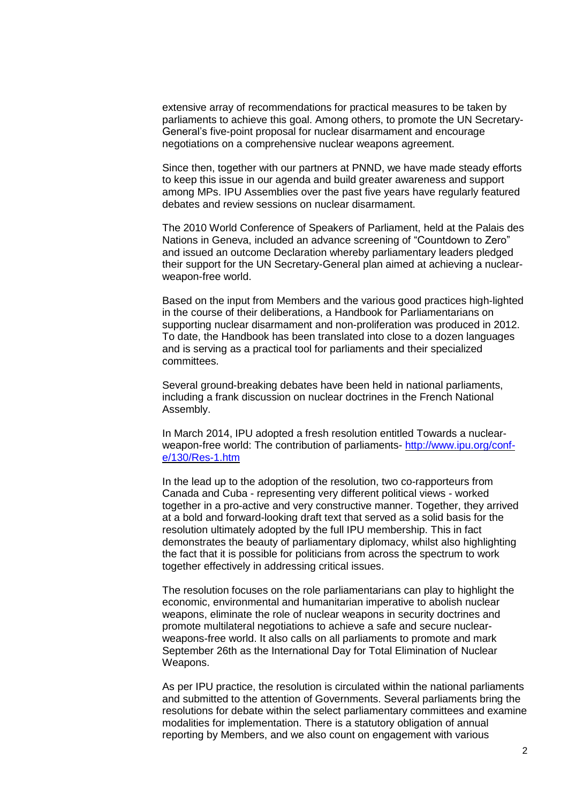extensive array of recommendations for practical measures to be taken by parliaments to achieve this goal. Among others, to promote the UN Secretary-General's five-point proposal for nuclear disarmament and encourage negotiations on a comprehensive nuclear weapons agreement.

Since then, together with our partners at PNND, we have made steady efforts to keep this issue in our agenda and build greater awareness and support among MPs. IPU Assemblies over the past five years have regularly featured debates and review sessions on nuclear disarmament.

The 2010 World Conference of Speakers of Parliament, held at the Palais des Nations in Geneva, included an advance screening of "Countdown to Zero" and issued an outcome Declaration whereby parliamentary leaders pledged their support for the UN Secretary-General plan aimed at achieving a nuclearweapon-free world.

Based on the input from Members and the various good practices high-lighted in the course of their deliberations, a Handbook for Parliamentarians on supporting nuclear disarmament and non-proliferation was produced in 2012. To date, the Handbook has been translated into close to a dozen languages and is serving as a practical tool for parliaments and their specialized committees.

Several ground-breaking debates have been held in national parliaments, including a frank discussion on nuclear doctrines in the French National Assembly.

In March 2014, IPU adopted a fresh resolution entitled Towards a nuclearweapon-free world: The contribution of parliaments- [http://www.ipu.org/conf](http://www.ipu.org/conf-e/130/Res-1.htm)[e/130/Res-1.htm](http://www.ipu.org/conf-e/130/Res-1.htm)

In the lead up to the adoption of the resolution, two co-rapporteurs from Canada and Cuba - representing very different political views - worked together in a pro-active and very constructive manner. Together, they arrived at a bold and forward-looking draft text that served as a solid basis for the resolution ultimately adopted by the full IPU membership. This in fact demonstrates the beauty of parliamentary diplomacy, whilst also highlighting the fact that it is possible for politicians from across the spectrum to work together effectively in addressing critical issues.

The resolution focuses on the role parliamentarians can play to highlight the economic, environmental and humanitarian imperative to abolish nuclear weapons, eliminate the role of nuclear weapons in security doctrines and promote multilateral negotiations to achieve a safe and secure nuclearweapons-free world. It also calls on all parliaments to promote and mark September 26th as the International Day for Total Elimination of Nuclear Weapons.

As per IPU practice, the resolution is circulated within the national parliaments and submitted to the attention of Governments. Several parliaments bring the resolutions for debate within the select parliamentary committees and examine modalities for implementation. There is a statutory obligation of annual reporting by Members, and we also count on engagement with various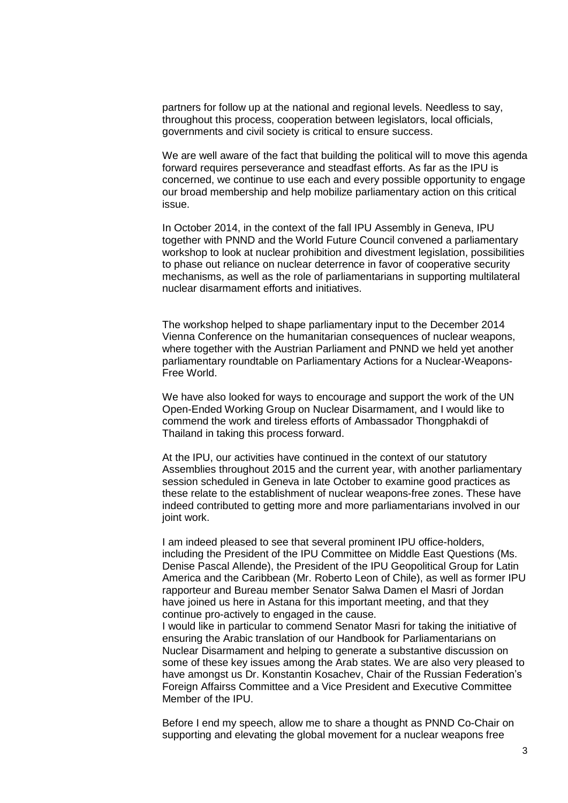partners for follow up at the national and regional levels. Needless to say, throughout this process, cooperation between legislators, local officials, governments and civil society is critical to ensure success.

We are well aware of the fact that building the political will to move this agenda forward requires perseverance and steadfast efforts. As far as the IPU is concerned, we continue to use each and every possible opportunity to engage our broad membership and help mobilize parliamentary action on this critical issue.

In October 2014, in the context of the fall IPU Assembly in Geneva, IPU together with PNND and the World Future Council convened a parliamentary workshop to look at nuclear prohibition and divestment legislation, possibilities to phase out reliance on nuclear deterrence in favor of cooperative security mechanisms, as well as the role of parliamentarians in supporting multilateral nuclear disarmament efforts and initiatives.

The workshop helped to shape parliamentary input to the December 2014 Vienna Conference on the humanitarian consequences of nuclear weapons, where together with the Austrian Parliament and PNND we held yet another parliamentary roundtable on Parliamentary Actions for a Nuclear-Weapons-Free World.

We have also looked for ways to encourage and support the work of the UN Open-Ended Working Group on Nuclear Disarmament, and I would like to commend the work and tireless efforts of Ambassador Thongphakdi of Thailand in taking this process forward.

At the IPU, our activities have continued in the context of our statutory Assemblies throughout 2015 and the current year, with another parliamentary session scheduled in Geneva in late October to examine good practices as these relate to the establishment of nuclear weapons-free zones. These have indeed contributed to getting more and more parliamentarians involved in our joint work.

I am indeed pleased to see that several prominent IPU office-holders, including the President of the IPU Committee on Middle East Questions (Ms. Denise Pascal Allende), the President of the IPU Geopolitical Group for Latin America and the Caribbean (Mr. Roberto Leon of Chile), as well as former IPU rapporteur and Bureau member Senator Salwa Damen el Masri of Jordan have joined us here in Astana for this important meeting, and that they continue pro-actively to engaged in the cause.

I would like in particular to commend Senator Masri for taking the initiative of ensuring the Arabic translation of our Handbook for Parliamentarians on Nuclear Disarmament and helping to generate a substantive discussion on some of these key issues among the Arab states. We are also very pleased to have amongst us Dr. Konstantin Kosachev, Chair of the Russian Federation's Foreign Affairss Committee and a Vice President and Executive Committee Member of the IPU.

Before I end my speech, allow me to share a thought as PNND Co-Chair on supporting and elevating the global movement for a nuclear weapons free